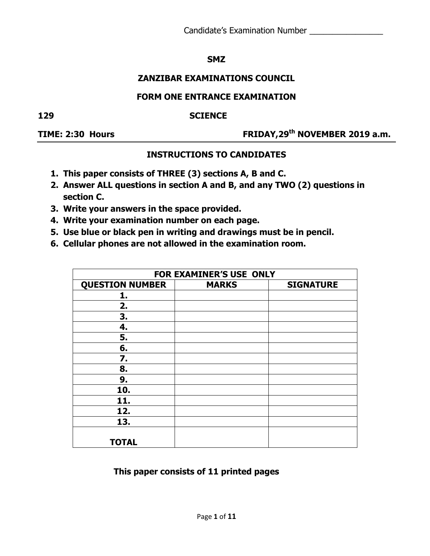### **SMZ**

# **ZANZIBAR EXAMINATIONS COUNCIL**

## **FORM ONE ENTRANCE EXAMINATION**

### **129 SCIENCE**

**TIME: 2:30 Hours FRIDAY,29th NOVEMBER 2019 a.m.**

## **INSTRUCTIONS TO CANDIDATES**

- **1. This paper consists of THREE (3) sections A, B and C.**
- **2. Answer ALL questions in section A and B, and any TWO (2) questions in section C.**
- **3. Write your answers in the space provided.**
- **4. Write your examination number on each page.**
- **5. Use blue or black pen in writing and drawings must be in pencil.**
- **6. Cellular phones are not allowed in the examination room.**

| FOR EXAMINER'S USE ONLY |              |                  |  |  |  |  |  |
|-------------------------|--------------|------------------|--|--|--|--|--|
| <b>QUESTION NUMBER</b>  | <b>MARKS</b> | <b>SIGNATURE</b> |  |  |  |  |  |
| 1.                      |              |                  |  |  |  |  |  |
| 2.                      |              |                  |  |  |  |  |  |
| 3.                      |              |                  |  |  |  |  |  |
| 4.                      |              |                  |  |  |  |  |  |
| 5.                      |              |                  |  |  |  |  |  |
| 6.                      |              |                  |  |  |  |  |  |
| 7.                      |              |                  |  |  |  |  |  |
| 8.                      |              |                  |  |  |  |  |  |
| 9.                      |              |                  |  |  |  |  |  |
| 10.                     |              |                  |  |  |  |  |  |
| 11.                     |              |                  |  |  |  |  |  |
| 12.                     |              |                  |  |  |  |  |  |
| 13.                     |              |                  |  |  |  |  |  |
|                         |              |                  |  |  |  |  |  |
| <b>TOTAL</b>            |              |                  |  |  |  |  |  |

### **This paper consists of 11 printed pages**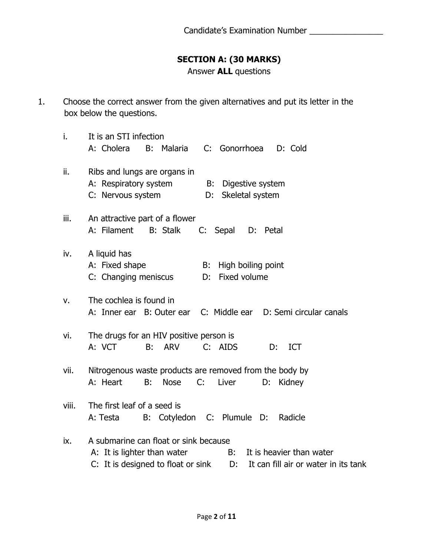# **SECTION A: (30 MARKS)**

Answer **ALL** questions

1. Choose the correct answer from the given alternatives and put its letter in the box below the questions.

| i.    | It is an STI infection<br>A: Cholera<br>Malaria C: Gonorrhoea D: Cold<br>B:                                                                                                                 |
|-------|---------------------------------------------------------------------------------------------------------------------------------------------------------------------------------------------|
| ii.   | Ribs and lungs are organs in<br>A: Respiratory system<br>Digestive system<br>B:<br>C: Nervous system<br>Skeletal system<br>D:                                                               |
| iii.  | An attractive part of a flower<br>A: Filament<br><b>B:</b> Stalk<br>C: Sepal D: Petal                                                                                                       |
| iv.   | A liquid has<br>A: Fixed shape<br>High boiling point<br>B:<br>Fixed volume<br>C: Changing meniscus<br>D:                                                                                    |
| v.    | The cochlea is found in<br>A: Inner ear B: Outer ear C: Middle ear D: Semi circular canals                                                                                                  |
| vi.   | The drugs for an HIV positive person is<br>C: AIDS<br>A: VCT<br>B: ARV<br>D:<br><b>ICT</b>                                                                                                  |
| vii.  | Nitrogenous waste products are removed from the body by<br>B:<br><b>Nose</b><br>C:<br>Liver<br>A: Heart<br>D:<br>Kidney                                                                     |
| viii. | The first leaf of a seed is<br>B: Cotyledon C: Plumule D:<br>A: Testa<br>Radicle                                                                                                            |
| ix.   | A submarine can float or sink because<br>It is heavier than water<br>A: It is lighter than water<br>B:<br>$C:$ It is designed to float or sink $D:$<br>It can fill air or water in its tank |
|       |                                                                                                                                                                                             |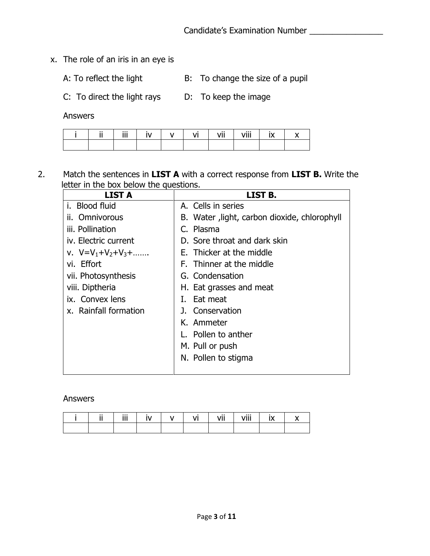- x. The role of an iris in an eye is
	-
	- A: To reflect the light B: To change the size of a pupil
	- C: To direct the light rays D: To keep the image

Answers

|  | iii | IV | $\mathsf{I} \mathsf{V}$ | VĪ | vii | viii | $\mathbf{I} \mathbf{X}$ |  |
|--|-----|----|-------------------------|----|-----|------|-------------------------|--|
|  |     |    |                         |    |     |      |                         |  |

2. Match the sentences in **LIST A** with a correct response from **LIST B.** Write the letter in the box below the questions.

| <b>LIST A</b>                    | LIST B.                                      |
|----------------------------------|----------------------------------------------|
| i. Blood fluid                   | A. Cells in series                           |
| ii. Omnivorous                   | B. Water, light, carbon dioxide, chlorophyll |
| iii. Pollination                 | C. Plasma                                    |
| iv. Electric current             | D. Sore throat and dark skin                 |
| v. $V = V_1 + V_2 + V_3 + \dots$ | E. Thicker at the middle                     |
| vi. Effort                       | F. Thinner at the middle                     |
| vii. Photosynthesis              | G. Condensation                              |
| viii. Diptheria                  | H. Eat grasses and meat                      |
| ix. Convex lens                  | Eat meat<br>L.                               |
| x. Rainfall formation            | J. Conservation                              |
|                                  | K. Ammeter                                   |
|                                  | L. Pollen to anther                          |
|                                  | M. Pull or push                              |
|                                  | N. Pollen to stigma                          |
|                                  |                                              |

#### Answers

|  | $\mathbf{1}$<br> |  | <br>$\mathbf{u}$<br>. | 1.111 |  |
|--|------------------|--|-----------------------|-------|--|
|  |                  |  |                       |       |  |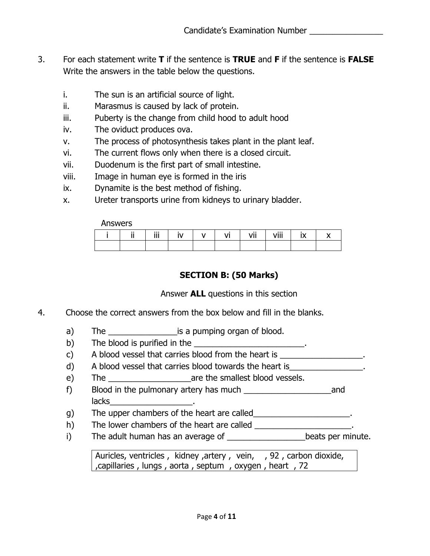- 3. For each statement write **T** if the sentence is **TRUE** and **F** if the sentence is **FALSE** Write the answers in the table below the questions.
	- i. The sun is an artificial source of light.
	- ii. Marasmus is caused by lack of protein.
	- iii. Puberty is the change from child hood to adult hood
	- iv. The oviduct produces ova.
	- v. The process of photosynthesis takes plant in the plant leaf.
	- vi. The current flows only when there is a closed circuit.
	- vii. Duodenum is the first part of small intestine.
	- viii. Image in human eye is formed in the iris
	- ix. Dynamite is the best method of fishing.
	- x. Ureter transports urine from kidneys to urinary bladder.

Answers

|  | $\cdots$<br><br>ш |  | . | <br>.<br>. | an a<br>VIII |  |
|--|-------------------|--|---|------------|--------------|--|
|  |                   |  |   |            |              |  |

# **SECTION B: (50 Marks)**

Answer **ALL** questions in this section

- 4. Choose the correct answers from the box below and fill in the blanks.
	- a) The \_\_\_\_\_\_\_\_\_\_\_\_\_\_\_\_\_\_\_\_\_\_is a pumping organ of blood.
	- b) The blood is purified in the  $\frac{1}{2}$  The blood is purified in the  $\frac{1}{2}$
	- c) A blood vessel that carries blood from the heart is \_\_\_\_\_\_\_\_\_\_\_\_\_\_\_\_\_\_.
	- d) A blood vessel that carries blood towards the heart is
	- e) The \_\_\_\_\_\_\_\_\_\_\_\_\_\_\_\_\_\_are the smallest blood vessels.
	- f) Blood in the pulmonary artery has much \_\_\_\_\_\_\_\_\_\_\_\_\_\_\_\_\_\_\_\_\_\_\_\_\_\_\_\_and lacks in the contract of the contract of the contract of the contract of the contract of the contract of the c
	- g) The upper chambers of the heart are called\_\_\_\_\_\_\_\_\_\_\_\_\_\_\_\_\_\_\_\_\_\_.
	- h) The lower chambers of the heart are called \_\_\_\_\_\_\_\_\_\_\_\_\_\_\_\_\_\_\_\_\_.
	- i) The adult human has an average of \_\_\_\_\_\_\_\_\_\_\_\_\_\_\_\_\_\_\_\_beats per minute.

Auricles, ventricles, kidney, artery, vein, , 92, carbon dioxide, ,capillaries , lungs , aorta , septum , oxygen , heart , 72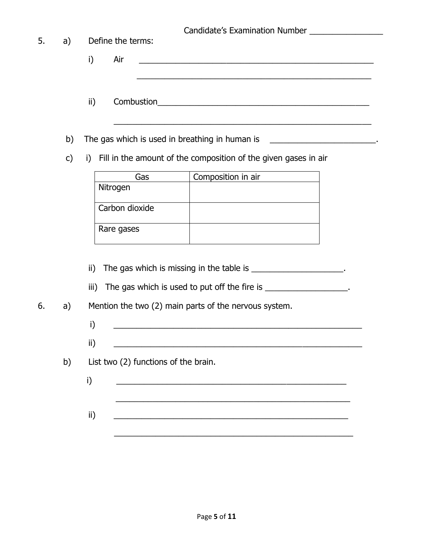| 5. | a)            |                         | Define the terms:                              |                                                                                                                                     |
|----|---------------|-------------------------|------------------------------------------------|-------------------------------------------------------------------------------------------------------------------------------------|
|    |               | i)                      | Air                                            | <u> 1980 - Johann John Stone, markin fan it fjort fan it fjort fan it fjort fan it fjort fan it fjort fan it fjort f</u>            |
|    |               | ii)                     |                                                |                                                                                                                                     |
|    | b)            |                         | The gas which is used in breathing in human is | ,我们也不能在这里的时候,我们也不能在这里的时候,我们也不能不能在这里的时候,我们也不能会不能会不能会不能会不能会不能会不能会。                                                                    |
|    | $\mathsf{c})$ |                         |                                                | i) Fill in the amount of the composition of the given gases in air                                                                  |
|    |               |                         | Gas                                            | Composition in air                                                                                                                  |
|    |               | Nitrogen                |                                                |                                                                                                                                     |
|    |               |                         | Carbon dioxide                                 |                                                                                                                                     |
|    |               |                         | Rare gases                                     |                                                                                                                                     |
|    |               | $\mathsf{ii}$ )<br>iii) |                                                | The gas which is missing in the table is _____________________.<br>The gas which is used to put off the fire is __________________. |
| 6. | a)            |                         |                                                | Mention the two (2) main parts of the nervous system.                                                                               |
|    |               | i)                      |                                                | <u> 1980 - Johann Barn, mars and de Brasilian (b. 1980)</u>                                                                         |
|    |               | ii)                     |                                                |                                                                                                                                     |
|    | b)            |                         | List two (2) functions of the brain.           |                                                                                                                                     |
|    |               | i)                      |                                                | <u> 1989 - Johann Barbara, martin amerikan ba</u>                                                                                   |
|    |               |                         |                                                |                                                                                                                                     |
|    |               | ii)                     |                                                |                                                                                                                                     |
|    |               |                         |                                                |                                                                                                                                     |
|    |               |                         |                                                |                                                                                                                                     |
|    |               |                         |                                                |                                                                                                                                     |
|    |               |                         |                                                |                                                                                                                                     |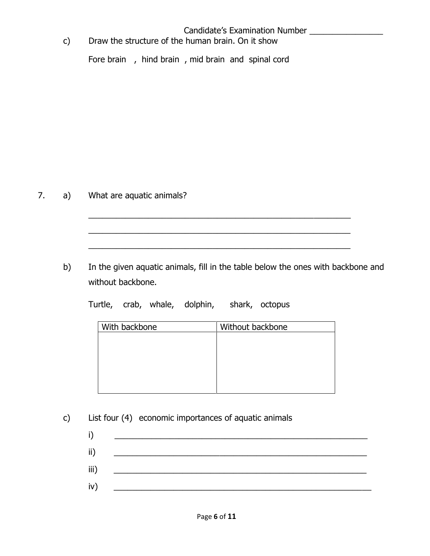### Candidate's Examination Number \_\_\_\_\_\_\_\_\_\_\_\_\_\_\_\_

c) Draw the structure of the human brain. On it show

Fore brain , hind brain , mid brain and spinal cord

7. a) What are aquatic animals?

b) In the given aquatic animals, fill in the table below the ones with backbone and without backbone.

\_\_\_\_\_\_\_\_\_\_\_\_\_\_\_\_\_\_\_\_\_\_\_\_\_\_\_\_\_\_\_\_\_\_\_\_\_\_\_\_\_\_\_\_\_\_\_\_\_\_\_\_\_\_\_\_\_

\_\_\_\_\_\_\_\_\_\_\_\_\_\_\_\_\_\_\_\_\_\_\_\_\_\_\_\_\_\_\_\_\_\_\_\_\_\_\_\_\_\_\_\_\_\_\_\_\_\_\_\_\_\_\_\_\_

Turtle, crab, whale, dolphin, shark, octopus

| With backbone | Without backbone |
|---------------|------------------|
|               |                  |
|               |                  |
|               |                  |
|               |                  |
|               |                  |
|               |                  |

- c) List four (4) economic importances of aquatic animals
	- i) \_\_\_\_\_\_\_\_\_\_\_\_\_\_\_\_\_\_\_\_\_\_\_\_\_\_\_\_\_\_\_\_\_\_\_\_\_\_\_\_\_\_\_\_\_\_\_\_\_\_\_\_\_\_\_ ii) \_\_\_\_\_\_\_\_\_\_\_\_\_\_\_\_\_\_\_\_\_\_\_\_\_\_\_\_\_\_\_\_\_\_\_\_\_\_\_\_\_\_\_\_\_\_\_\_\_\_\_\_\_\_\_ iii) \_\_\_\_\_\_\_\_\_\_\_\_\_\_\_\_\_\_\_\_\_\_\_\_\_\_\_\_\_\_\_\_\_\_\_\_\_\_\_\_\_\_\_\_\_\_\_\_\_\_\_\_\_\_\_  $iv)$   $\qquad \qquad \overline{\qquad \qquad }$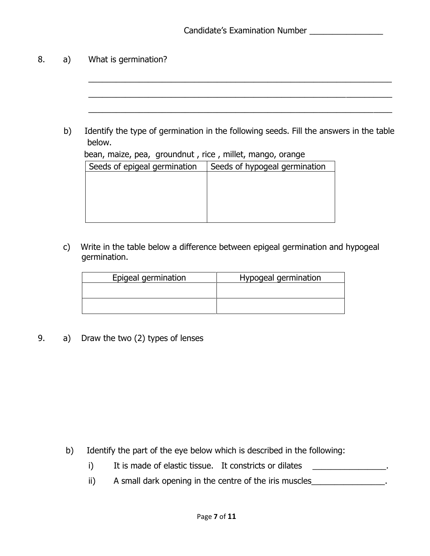### 8. a) What is germination?

- $\overline{a_1}$  , and the set of the set of the set of the set of the set of the set of the set of the set of the set of the set of the set of the set of the set of the set of the set of the set of the set of the set of the se  $\overline{a_1}$  , and the set of the set of the set of the set of the set of the set of the set of the set of the set of the set of the set of the set of the set of the set of the set of the set of the set of the set of the se  $\overline{a_1}$  , and the set of the set of the set of the set of the set of the set of the set of the set of the set of the set of the set of the set of the set of the set of the set of the set of the set of the set of the se b) Identify the type of germination in the following seeds. Fill the answers in the table below. bean, maize, pea, groundnut , rice , millet, mango, orange Seeds of epigeal germination  $\vert$  Seeds of hypogeal germination
	- c) Write in the table below a difference between epigeal germination and hypogeal germination.

| Epigeal germination | Hypogeal germination |
|---------------------|----------------------|
|                     |                      |
|                     |                      |

9. a) Draw the two (2) types of lenses

- b) Identify the part of the eye below which is described in the following:
	- i) It is made of elastic tissue. It constricts or dilates \_\_\_\_\_\_\_\_\_\_\_\_\_\_\_\_.
	- ii) A small dark opening in the centre of the iris muscles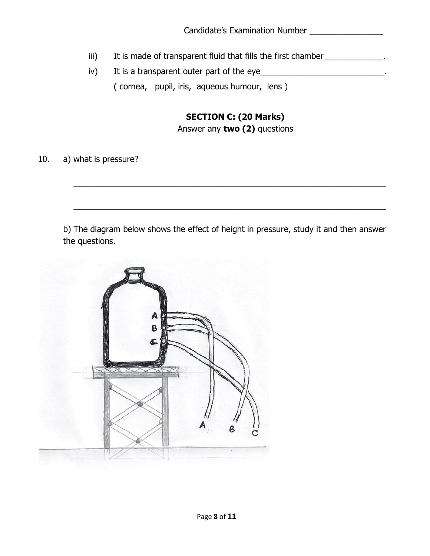- iii) It is made of transparent fluid that fills the first chamber\_\_\_\_\_\_\_\_\_\_\_\_\_\_.
- iv) It is a transparent outer part of the eye ( cornea, pupil, iris, aqueous humour, lens )

# **SECTION C: (20 Marks)**

Answer any **two (2)** questions

10. a) what is pressure?

b) The diagram below shows the effect of height in pressure, study it and then answer the questions.

\_\_\_\_\_\_\_\_\_\_\_\_\_\_\_\_\_\_\_\_\_\_\_\_\_\_\_\_\_\_\_\_\_\_\_\_\_\_\_\_\_\_\_\_\_\_\_\_\_\_\_\_\_\_\_\_\_\_\_\_\_\_\_\_\_\_\_\_

\_\_\_\_\_\_\_\_\_\_\_\_\_\_\_\_\_\_\_\_\_\_\_\_\_\_\_\_\_\_\_\_\_\_\_\_\_\_\_\_\_\_\_\_\_\_\_\_\_\_\_\_\_\_\_\_\_\_\_\_\_\_\_\_\_\_\_\_

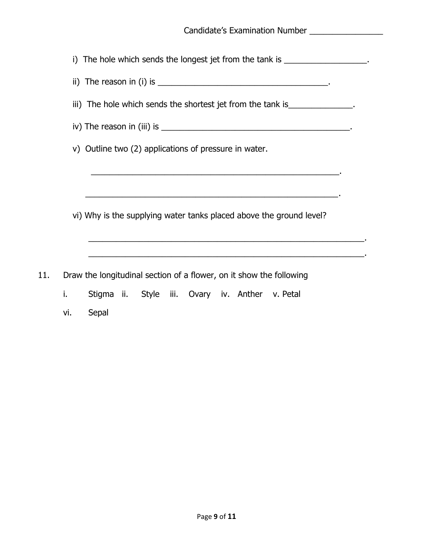|    | i) The hole which sends the longest jet from the tank is __________________.                                        |
|----|---------------------------------------------------------------------------------------------------------------------|
|    |                                                                                                                     |
|    | iii) The hole which sends the shortest jet from the tank is ______________.                                         |
|    |                                                                                                                     |
|    | v) Outline two (2) applications of pressure in water.                                                               |
|    | <u> 1993 - 1994 - 1995 - 1996 - 1997 - 1998 - 1999 - 1999 - 1999 - 1999 - 1999 - 1999 - 1999 - 1999 - 1999 - 19</u> |
|    |                                                                                                                     |
|    | vi) Why is the supplying water tanks placed above the ground level?                                                 |
|    |                                                                                                                     |
|    |                                                                                                                     |
|    | Draw the longitudinal section of a flower, on it show the following                                                 |
| i. | Stigma ii. Style iii. Ovary iv. Anther v. Petal                                                                     |

vi. Sepal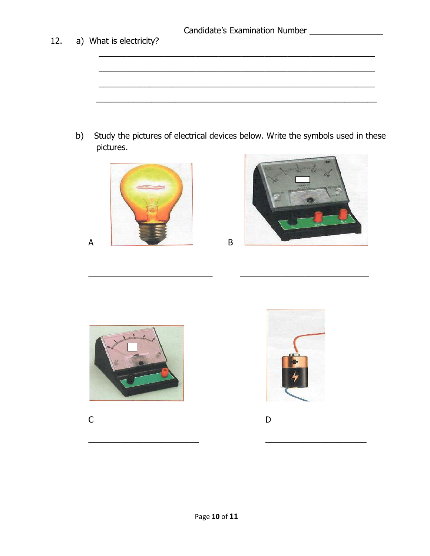a) What is electricity?  $b)$ Study the pictures of electrical devices below. Write the symbols used in these pictures.

 $\sf B$ 





12.





 $\mathsf{C}$ 



 $\mathsf D$